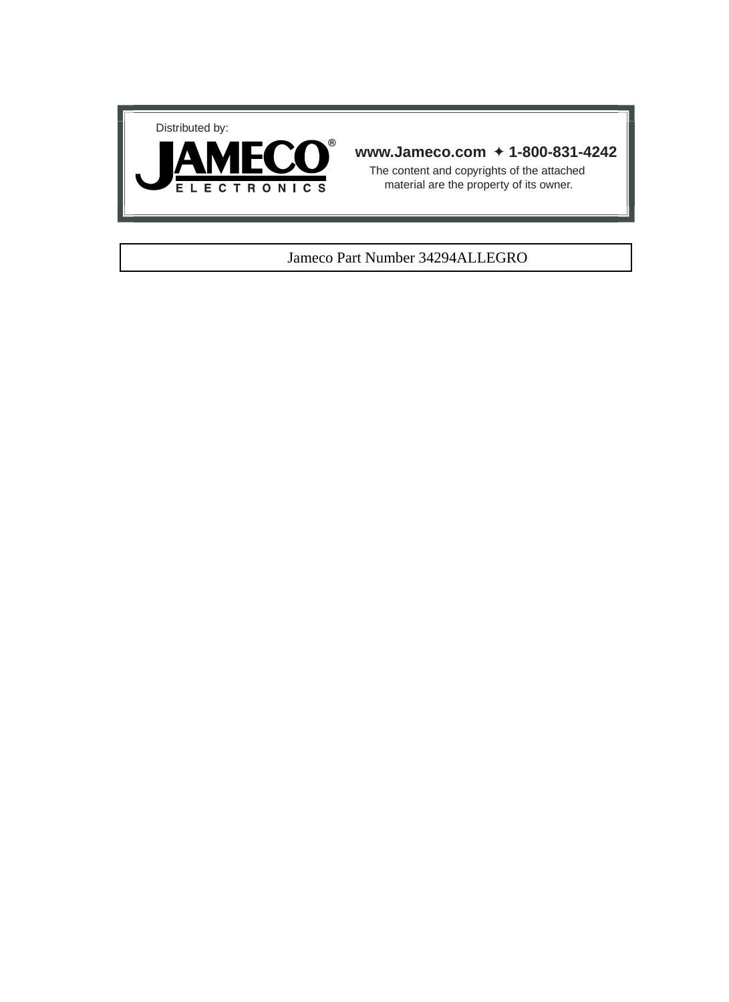



#### **www.Jameco.com** ✦ **1-800-831-4242**

The content and copyrights of the attached material are the property of its owner.

#### Jameco Part Number 34294ALLEGRO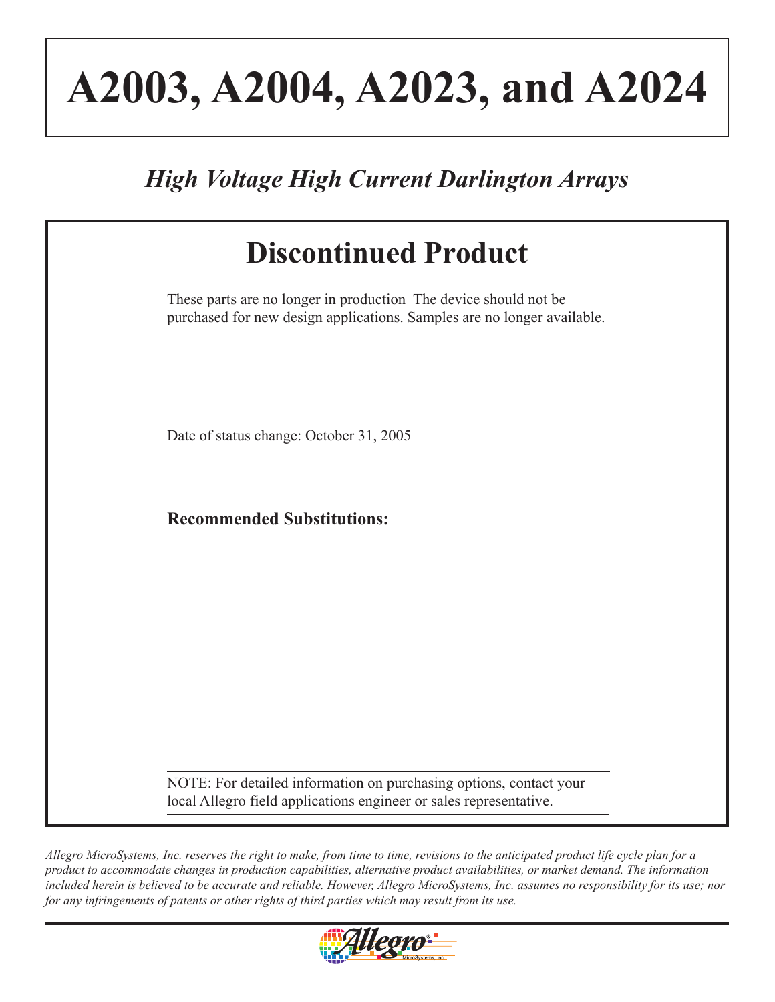# **A2003, A2004, A2023, and A2024**

## *High Voltage High Current Darlington Arrays*

| <b>Discontinued Product</b>                                                                                                                 |
|---------------------------------------------------------------------------------------------------------------------------------------------|
| These parts are no longer in production The device should not be<br>purchased for new design applications. Samples are no longer available. |
| Date of status change: October 31, 2005                                                                                                     |
| <b>Recommended Substitutions:</b>                                                                                                           |
|                                                                                                                                             |
|                                                                                                                                             |
| NOTE: For detailed information on purchasing options, contact your<br>local Allegro field applications engineer or sales representative.    |

*Allegro MicroSystems, Inc. reserves the right to make, from time to time, revisions to the anticipated product life cycle plan for a product to accommodate changes in production capabilities, alternative product availabilities, or market demand. The information included herein is believed to be accurate and reliable. However, Allegro MicroSystems, Inc. assumes no responsibility for its use; nor for any infringements of patents or other rights of third parties which may result from its use.*

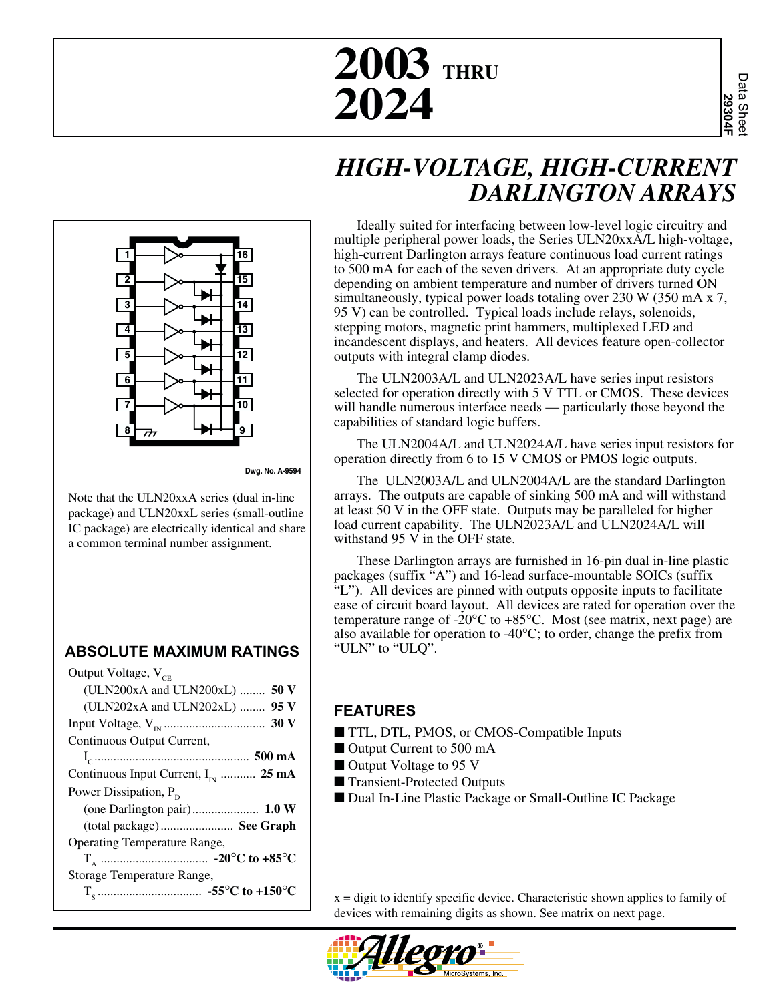## **2003 THRU 2024**

### *HIGH-VOLTAGE, HIGH-CURRENT DARLINGTON ARRAYS*



**Dwg. No. A-9594**

Note that the ULN20xxA series (dual in-line package) and ULN20xxL series (small-outline IC package) are electrically identical and share a common terminal number assignment.

#### **ABSOLUTE MAXIMUM RATINGS**

| Output Voltage, V <sub>CE</sub>         |
|-----------------------------------------|
| (ULN200xA and ULN200xL) $50V$           |
| (ULN202xA and ULN202xL) $95 V$          |
|                                         |
| Continuous Output Current,              |
|                                         |
| Continuous Input Current, $I_{N}$ 25 mA |
| Power Dissipation, $P_p$                |
|                                         |
| (total package) See Graph               |
| <b>Operating Temperature Range,</b>     |
|                                         |
| Storage Temperature Range,              |
|                                         |

Ideally suited for interfacing between low-level logic circuitry and multiple peripheral power loads, the Series ULN20xxA/L high-voltage, high-current Darlington arrays feature continuous load current ratings to 500 mA for each of the seven drivers. At an appropriate duty cycle depending on ambient temperature and number of drivers turned ON simultaneously, typical power loads totaling over 230 W (350 mA x 7, 95 V) can be controlled. Typical loads include relays, solenoids, stepping motors, magnetic print hammers, multiplexed LED and incandescent displays, and heaters. All devices feature open-collector outputs with integral clamp diodes.

The ULN2003A/L and ULN2023A/L have series input resistors selected for operation directly with 5 V TTL or CMOS. These devices will handle numerous interface needs — particularly those beyond the capabilities of standard logic buffers.

The ULN2004A/L and ULN2024A/L have series input resistors for operation directly from 6 to 15 V CMOS or PMOS logic outputs.

The ULN2003A/L and ULN2004A/L are the standard Darlington arrays. The outputs are capable of sinking 500 mA and will withstand at least 50 V in the OFF state. Outputs may be paralleled for higher load current capability. The ULN2023A/L and ULN2024A/L will withstand 95 V in the OFF state.

These Darlington arrays are furnished in 16-pin dual in-line plastic packages (suffix "A") and 16-lead surface-mountable SOICs (suffix "L"). All devices are pinned with outputs opposite inputs to facilitate ease of circuit board layout. All devices are rated for operation over the temperature range of -20 $\degree$ C to +85 $\degree$ C. Most (see matrix, next page) are also available for operation to  $-40^{\circ}$ C; to order, change the prefix from "ULN" to "ULQ".

#### **FEATURES**

- TTL, DTL, PMOS, or CMOS-Compatible Inputs
- Output Current to 500 mA
- Output Voltage to 95 V
- Transient-Protected Outputs
- Dual In-Line Plastic Package or Small-Outline IC Package

 $x =$  digit to identify specific device. Characteristic shown applies to family of devices with remaining digits as shown. See matrix on next page.

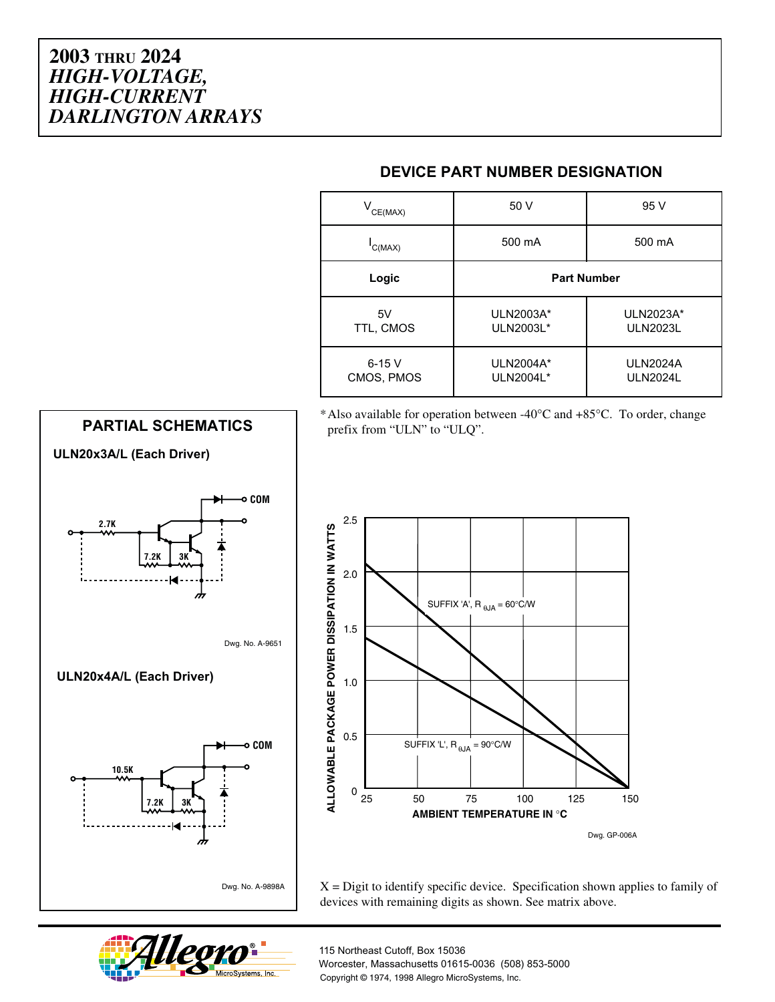| $V^{\text{CE(MAX)}}$     | 50 V                   | 95 V                               |  |  |
|--------------------------|------------------------|------------------------------------|--|--|
| C(MAX)                   | 500 mA                 | 500 mA                             |  |  |
| Logic                    | <b>Part Number</b>     |                                    |  |  |
| 5V<br>TTL, CMOS          | ULN2003A*<br>ULN2003L* | ULN2023A*<br><b>ULN2023L</b>       |  |  |
| $6 - 15$ V<br>CMOS, PMOS | ULN2004A*<br>ULN2004L* | <b>ULN2024A</b><br><b>ULN2024L</b> |  |  |

\*Also available for operation between -40°C and +85°C. To order, change prefix from "ULN" to "ULQ".





 $X =$  Digit to identify specific device. Specification shown applies to family of devices with remaining digits as shown. See matrix above.



115 Northeast Cutoff, Box 15036 Worcester, Massachusetts 01615-0036 (508) 853-5000 Copyright © 1974, 1998 Allegro MicroSystems, Inc.

#### **DEVICE PART NUMBER DESIGNATION**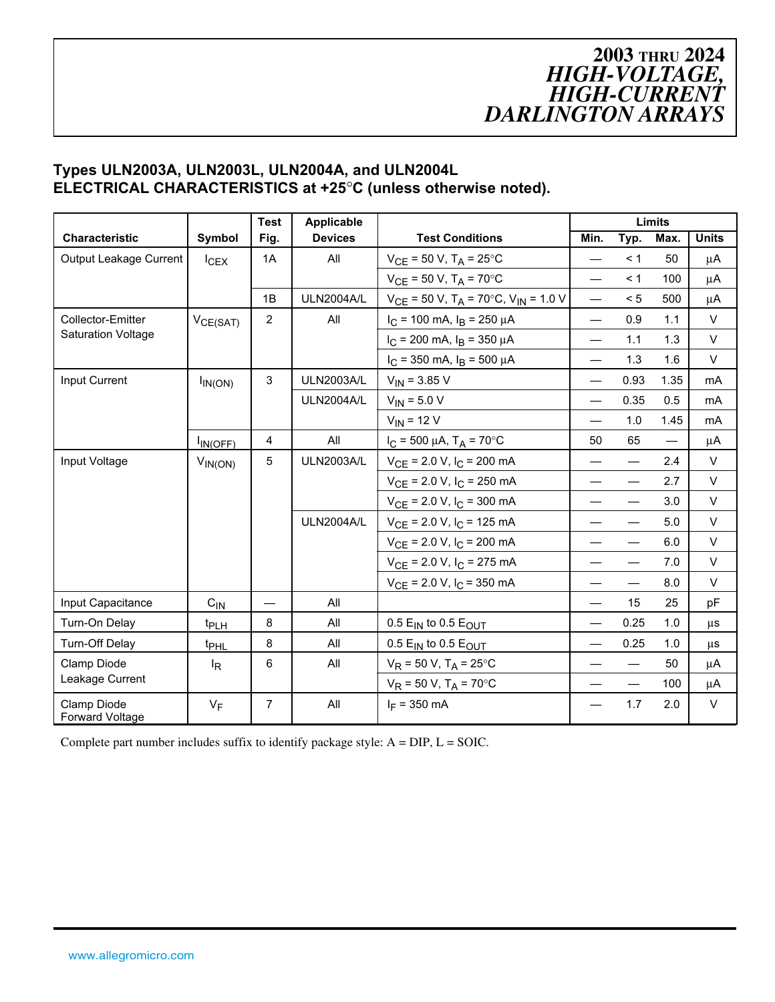#### **Types ULN2003A, ULN2003L, ULN2004A, and ULN2004L ELECTRICAL CHARACTERISTICS at +25**°**C (unless otherwise noted).**

|                                       |                  | <b>Test</b>    | <b>Applicable</b> |                                                                 |                          |                                  | <b>Limits</b>            |              |
|---------------------------------------|------------------|----------------|-------------------|-----------------------------------------------------------------|--------------------------|----------------------------------|--------------------------|--------------|
| <b>Characteristic</b>                 | Symbol           | Fig.           | <b>Devices</b>    | <b>Test Conditions</b>                                          | Min.                     | Typ.                             | Max.                     | <b>Units</b> |
| Output Leakage Current                | $I_{CEX}$        | 1A             | All               | $V_{CE}$ = 50 V, T <sub>A</sub> = 25°C                          | $\overline{\phantom{0}}$ | < 1                              | 50                       | μA           |
|                                       |                  |                |                   | $V_{CE}$ = 50 V, T <sub>A</sub> = 70°C                          | $\qquad \qquad$          | < 1                              | 100                      | μA           |
|                                       |                  | 1B             | <b>ULN2004A/L</b> | $V_{CE}$ = 50 V, T <sub>A</sub> = 70°C, V <sub>IN</sub> = 1.0 V | $\equiv$                 | < 5                              | 500                      | μA           |
| <b>Collector-Emitter</b>              | $V_{CE(SAT)}$    | $\overline{2}$ | All               | $I_C$ = 100 mA, $I_B$ = 250 $\mu$ A                             |                          | 0.9                              | 1.1                      | $\vee$       |
| <b>Saturation Voltage</b>             |                  |                |                   | $I_C$ = 200 mA, $I_B$ = 350 µA                                  | $\overline{\phantom{0}}$ | 1.1                              | 1.3                      | $\vee$       |
|                                       |                  |                |                   | $I_C$ = 350 mA, $I_B$ = 500 $\mu$ A                             | $\overline{\phantom{0}}$ | 1.3                              | 1.6                      | $\vee$       |
| Input Current                         | $I_{IN(ON)}$     | 3              | <b>ULN2003A/L</b> | $V_{IN}$ = 3.85 V                                               | $\overline{\phantom{0}}$ | 0.93                             | 1.35                     | mA           |
|                                       |                  |                | <b>ULN2004A/L</b> | $V_{IN}$ = 5.0 V                                                |                          | 0.35                             | 0.5                      | mA           |
|                                       |                  |                |                   | $V_{IN}$ = 12 V                                                 |                          | 1.0                              | 1.45                     | mA           |
|                                       | $I_{IN(OFF)}$    | $\overline{4}$ | All               | $I_C = 500 \mu A$ , T <sub>A</sub> = 70°C                       | 50                       | 65                               | $\overline{\phantom{0}}$ | μA           |
| Input Voltage                         | $V_{IN(ON)}$     | 5              | <b>ULN2003A/L</b> | $V_{CE}$ = 2.0 V, $I_C$ = 200 mA                                | $\overline{\phantom{0}}$ | $\qquad \qquad -$                | 2.4                      | $\vee$       |
|                                       |                  |                |                   | $V_{CE}$ = 2.0 V, I <sub>C</sub> = 250 mA                       | $\overline{\phantom{0}}$ | $\qquad \qquad$                  | 2.7                      | V            |
|                                       |                  |                |                   | $V_{CE}$ = 2.0 V, $I_C$ = 300 mA                                |                          | $\qquad \qquad$                  | 3.0                      | V            |
|                                       |                  |                | <b>ULN2004A/L</b> | $V_{CE}$ = 2.0 V, $I_C$ = 125 mA                                | $\qquad \qquad -$        |                                  | 5.0                      | V            |
|                                       |                  |                |                   | $V_{CE}$ = 2.0 V, $I_C$ = 200 mA                                |                          |                                  | 6.0                      | V            |
|                                       |                  |                |                   | $V_{CE}$ = 2.0 V, I <sub>C</sub> = 275 mA                       |                          | $\overbrace{\phantom{12322111}}$ | 7.0                      | $\vee$       |
|                                       |                  |                |                   | $V_{CE}$ = 2.0 V, $I_C$ = 350 mA                                |                          | $\overline{\phantom{m}}$         | 8.0                      | V            |
| Input Capacitance                     | $C_{1N}$         |                | All               |                                                                 | $\overline{\phantom{0}}$ | 15                               | 25                       | pF           |
| Turn-On Delay                         | t <sub>PLH</sub> | 8              | All               | 0.5 $E_{IN}$ to 0.5 $E_{OUT}$                                   |                          | 0.25                             | 1.0                      | μs           |
| Turn-Off Delay                        | t <sub>PHL</sub> | 8              | All               | 0.5 $E_{IN}$ to 0.5 $E_{OUT}$                                   |                          | 0.25                             | 1.0                      | μs           |
| Clamp Diode                           | $I_R$            | 6              | All               | $V_R$ = 50 V, T <sub>A</sub> = 25°C                             |                          |                                  | 50                       | μA           |
| Leakage Current                       |                  |                |                   | $V_R$ = 50 V, T <sub>A</sub> = 70 $^{\circ}$ C                  |                          | $\overline{\phantom{m}}$         | 100                      | μA           |
| Clamp Diode<br><b>Forward Voltage</b> | $V_F$            | $\overline{7}$ | All               | $I_F = 350$ mA                                                  |                          | 1.7                              | 2.0                      | V            |

Complete part number includes suffix to identify package style: A = DIP, L = SOIC.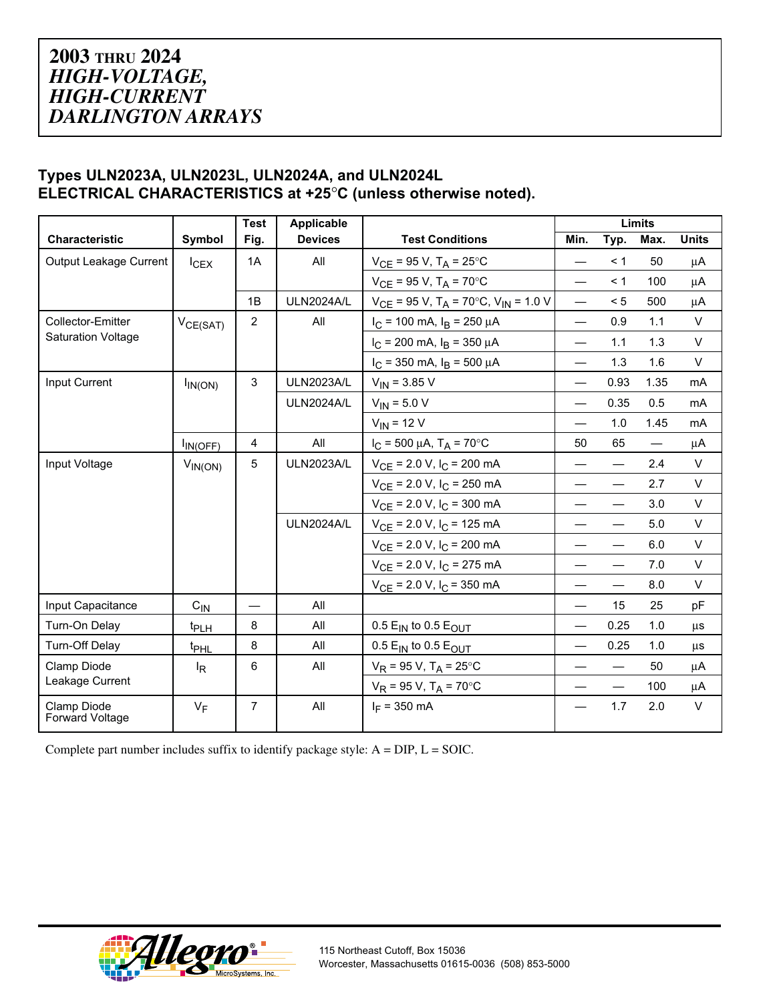#### **Types ULN2023A, ULN2023L, ULN2024A, and ULN2024L ELECTRICAL CHARACTERISTICS at +25**°**C (unless otherwise noted).**

|                                       | <b>Test</b><br>Applicable |                | Limits            |                                                                 |                          |                                  |                   |              |
|---------------------------------------|---------------------------|----------------|-------------------|-----------------------------------------------------------------|--------------------------|----------------------------------|-------------------|--------------|
| <b>Characteristic</b>                 | Symbol                    | Fig.           | <b>Devices</b>    | <b>Test Conditions</b>                                          | Min.                     | Typ.                             | Max.              | <b>Units</b> |
| Output Leakage Current                | $I_{CEX}$                 | 1A             | All               | $V_{CE}$ = 95 V, T <sub>A</sub> = 25°C                          | $\overline{\phantom{0}}$ | < 1                              | 50                | μA           |
|                                       |                           |                |                   | $V_{CE}$ = 95 V, T <sub>A</sub> = 70°C                          | $\equiv$                 | < 1                              | 100               | μA           |
|                                       |                           | 1B             | <b>ULN2024A/L</b> | $V_{CE}$ = 95 V, T <sub>A</sub> = 70°C, V <sub>IN</sub> = 1.0 V | $\equiv$                 | < 5                              | 500               | μA           |
| <b>Collector-Emitter</b>              | $V_{CE(SAT)}$             | 2              | All               | $I_C$ = 100 mA, $I_B$ = 250 µA                                  |                          | 0.9                              | 1.1               | $\vee$       |
| <b>Saturation Voltage</b>             |                           |                |                   | $I_C$ = 200 mA, $I_B$ = 350 $\mu$ A                             | $\overline{\phantom{0}}$ | 1.1                              | 1.3               | V            |
|                                       |                           |                |                   | $I_C$ = 350 mA, $I_B$ = 500 $\mu$ A                             | $\equiv$                 | 1.3                              | 1.6               | $\vee$       |
| Input Current                         | $I_{IN(ON)}$              | 3              | <b>ULN2023A/L</b> | $V_{IN}$ = 3.85 V                                               | $\equiv$                 | 0.93                             | 1.35              | mA           |
|                                       |                           |                | <b>ULN2024A/L</b> | $V_{IN}$ = 5.0 V                                                | $\equiv$                 | 0.35                             | 0.5               | mA           |
|                                       |                           |                |                   | $V_{IN}$ = 12 V                                                 | $\equiv$                 | 1.0                              | 1.45              | mA           |
|                                       | $I_{IN(OFF)}$             | $\overline{4}$ | All               | $I_C = 500 \mu A$ , T <sub>A</sub> = 70°C                       | 50                       | 65                               | $\qquad \qquad -$ | μA           |
| Input Voltage                         | $V_{IN(ON)}$              | 5              | <b>ULN2023A/L</b> | $V_{CE}$ = 2.0 V, $I_C$ = 200 mA                                | $\overline{\phantom{0}}$ |                                  | 2.4               | V            |
|                                       |                           |                |                   | $V_{CE}$ = 2.0 V, I <sub>C</sub> = 250 mA                       | $\overline{\phantom{0}}$ |                                  | 2.7               | V            |
|                                       |                           |                |                   | $V_{CE}$ = 2.0 V, $I_C$ = 300 mA                                | $\overline{\phantom{0}}$ |                                  | 3.0               | V            |
|                                       |                           |                | <b>ULN2024A/L</b> | $V_{CE}$ = 2.0 V, $I_C$ = 125 mA                                | $\overline{\phantom{0}}$ |                                  | 5.0               | V            |
|                                       |                           |                |                   | $V_{CE}$ = 2.0 V, $I_C$ = 200 mA                                | $\overline{\phantom{0}}$ | $\equiv$                         | 6.0               | V            |
|                                       |                           |                |                   | $V_{CE}$ = 2.0 V, $I_C$ = 275 mA                                | $\equiv$                 |                                  | 7.0               | V            |
|                                       |                           |                |                   | $V_{CE}$ = 2.0 V, $I_C$ = 350 mA                                |                          | $\qquad \qquad$                  | 8.0               | V            |
| Input Capacitance                     | $C_{IN}$                  |                | All               |                                                                 |                          | 15                               | 25                | pF           |
| Turn-On Delay                         | t <sub>PLH</sub>          | 8              | All               | 0.5 $E_{IN}$ to 0.5 $E_{OUT}$                                   | $\equiv$                 | 0.25                             | 1.0               | <b>us</b>    |
| <b>Turn-Off Delay</b>                 | t <sub>PHL</sub>          | 8              | All               | 0.5 $E_{IN}$ to 0.5 $E_{OUT}$                                   | $\qquad \qquad$          | 0.25                             | 1.0               | μs           |
| Clamp Diode                           | $\mathsf{I}_{\mathsf{R}}$ | 6              | All               | $V_R$ = 95 V, T <sub>A</sub> = 25°C                             | $\overline{\phantom{0}}$ | $\overbrace{\phantom{12322111}}$ | 50                | μA           |
| Leakage Current                       |                           |                |                   | $V_R$ = 95 V, T <sub>A</sub> = 70°C                             |                          | $\overline{\phantom{m}}$         | 100               | μA           |
| Clamp Diode<br><b>Forward Voltage</b> | $V_F$                     | $\overline{7}$ | All               | $I_F = 350$ mA                                                  |                          | 1.7                              | 2.0               | $\vee$       |

Complete part number includes suffix to identify package style:  $A = DIP$ ,  $L = SOIC$ .

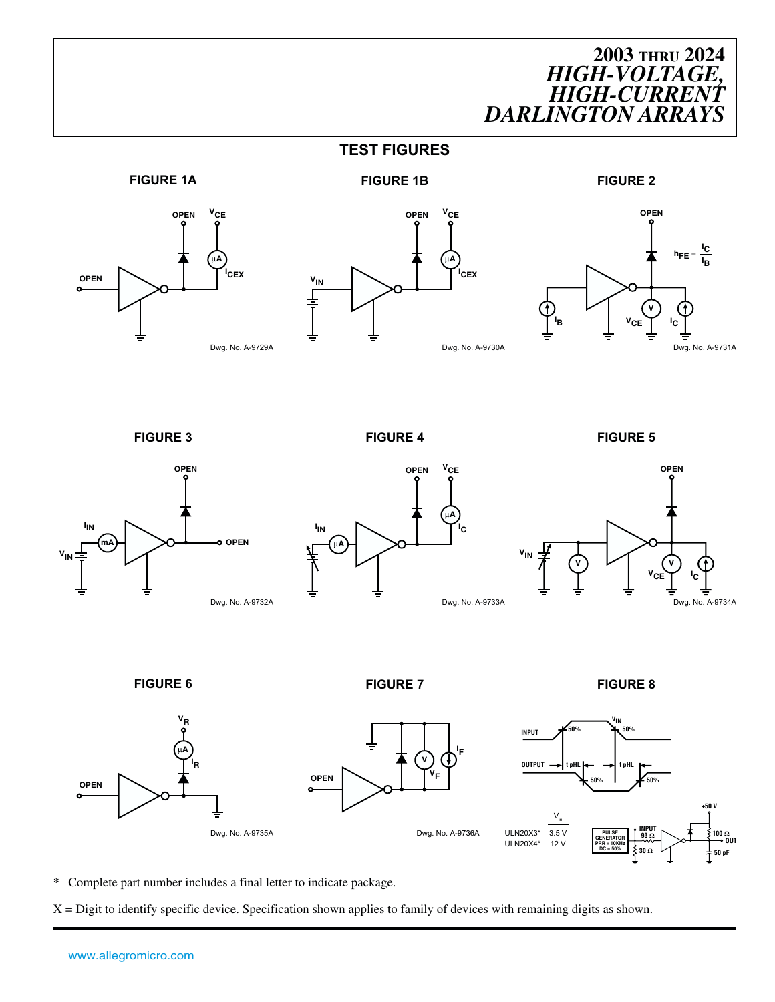**TEST FIGURES**









**FIGURE 3 FIGURE 4 FIGURE 5**







**FIGURE 6 FIGURE 7 FIGURE 8**



\* Complete part number includes a final letter to indicate package.

X = Digit to identify specific device. Specification shown applies to family of devices with remaining digits as shown.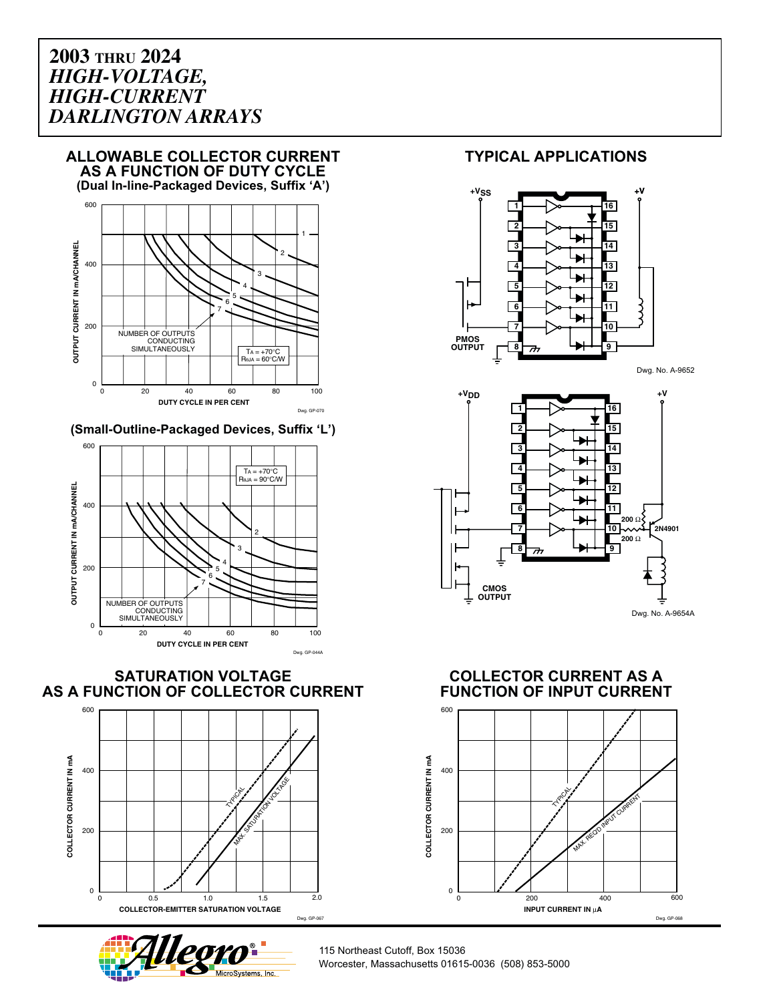

**(Small-Outline-Packaged Devices, Suffix 'L')**



**SATURATION VOLTAGE AS A FUNCTION OF COLLECTOR CURRENT**





#### **TYPICAL APPLICATIONS**



Dwg. No. A-9652



**COLLECTOR CURRENT AS A FUNCTION OF INPUT CURRENT**



115 Northeast Cutoff, Box 15036 Worcester, Massachusetts 01615-0036 (508) 853-5000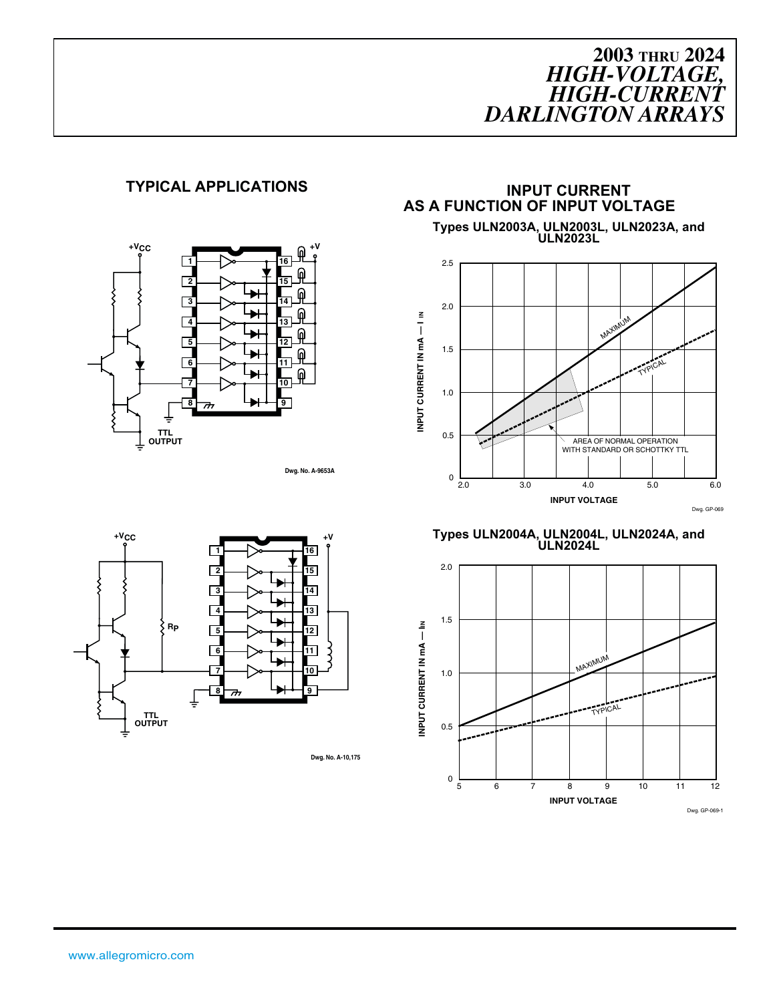#### **TYPICAL APPLICATIONS INPUT CURRENT**



**Dwg. No. A-9653A**



**Types ULN2003A, ULN2003L, ULN2023A, and ULN2023L**



**Types ULN2004A, ULN2004L, ULN2024A, and ULN2024L**





**Dwg. No. A-10,175**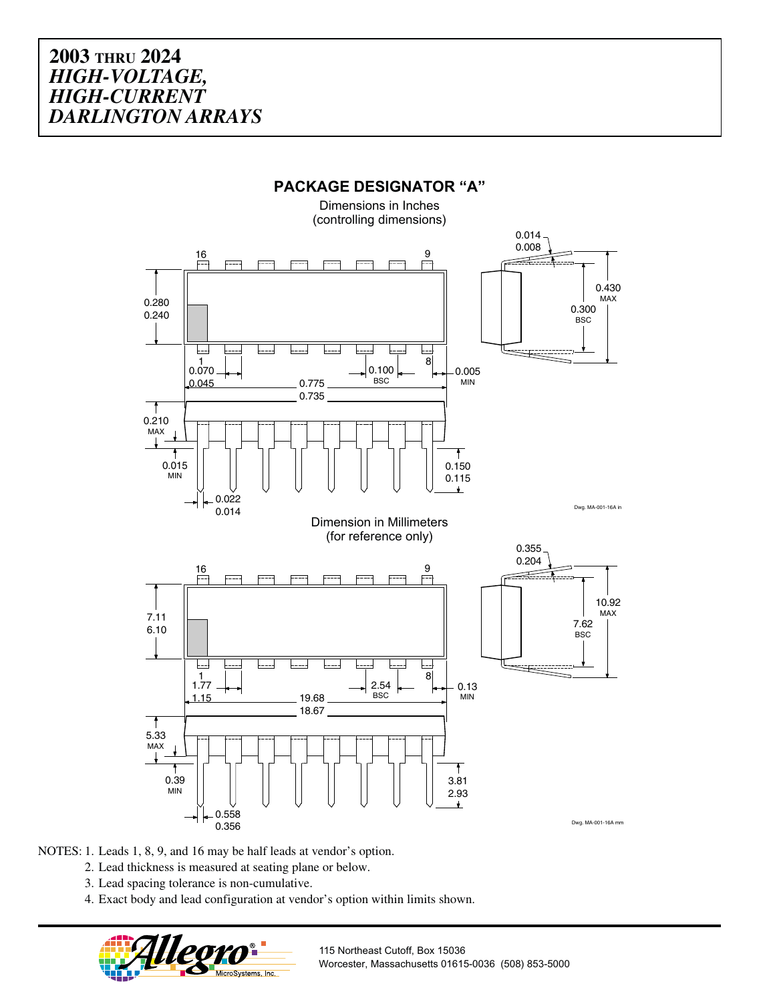

NOTES: 1. Leads 1, 8, 9, and 16 may be half leads at vendor's option.

- 2. Lead thickness is measured at seating plane or below.
- 3. Lead spacing tolerance is non-cumulative.
- 4. Exact body and lead configuration at vendor's option within limits shown.



115 Northeast Cutoff, Box 15036 Worcester, Massachusetts 01615-0036 (508) 853-5000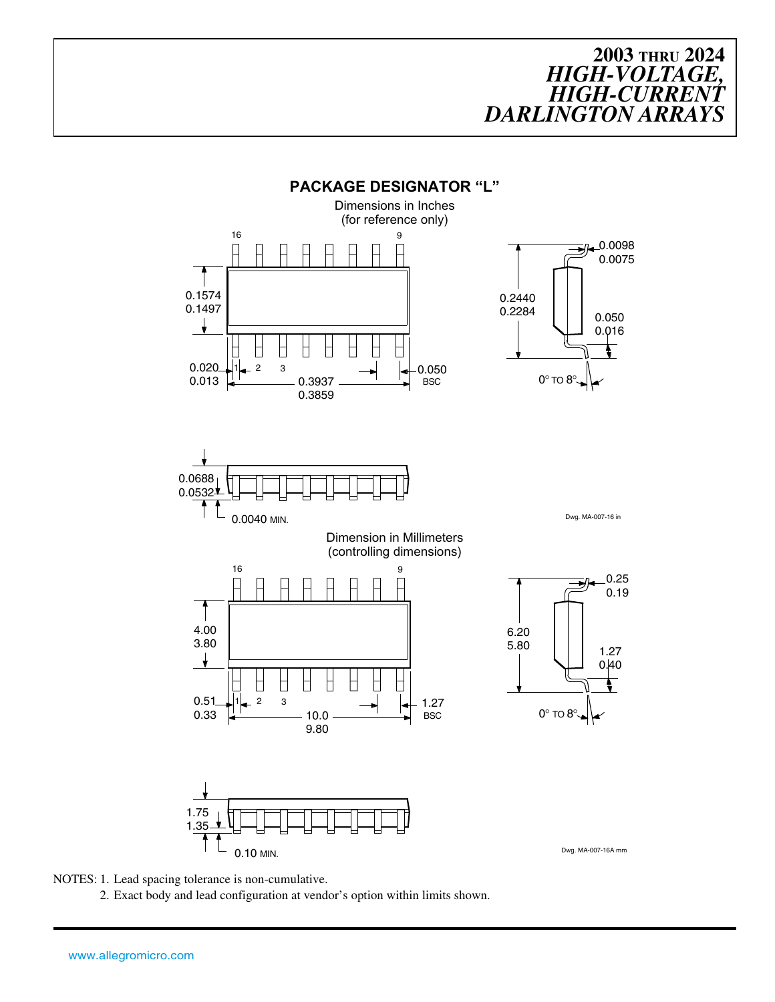



2. Exact body and lead configuration at vendor's option within limits shown.